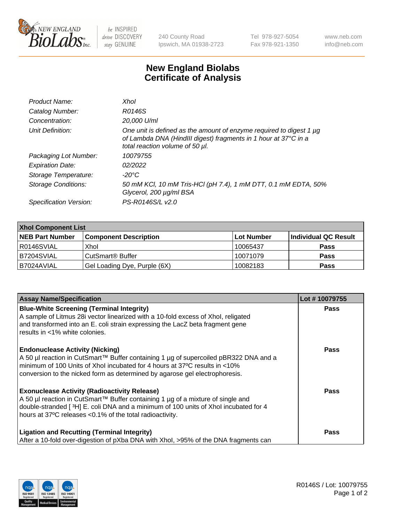

 $be$  INSPIRED drive DISCOVERY stay GENUINE

240 County Road Ipswich, MA 01938-2723 Tel 978-927-5054 Fax 978-921-1350 www.neb.com info@neb.com

## **New England Biolabs Certificate of Analysis**

| Product Name:           | Xhol                                                                                                                                                                      |
|-------------------------|---------------------------------------------------------------------------------------------------------------------------------------------------------------------------|
| Catalog Number:         | R0146S                                                                                                                                                                    |
| Concentration:          | 20,000 U/ml                                                                                                                                                               |
| Unit Definition:        | One unit is defined as the amount of enzyme required to digest 1 µg<br>of Lambda DNA (HindIII digest) fragments in 1 hour at 37°C in a<br>total reaction volume of 50 µl. |
| Packaging Lot Number:   | 10079755                                                                                                                                                                  |
| <b>Expiration Date:</b> | 02/2022                                                                                                                                                                   |
| Storage Temperature:    | -20°C                                                                                                                                                                     |
| Storage Conditions:     | 50 mM KCl, 10 mM Tris-HCl (pH 7.4), 1 mM DTT, 0.1 mM EDTA, 50%<br>Glycerol, 200 µg/ml BSA                                                                                 |
| Specification Version:  | PS-R0146S/L v2.0                                                                                                                                                          |

| <b>Xhol Component List</b> |                              |             |                      |  |  |
|----------------------------|------------------------------|-------------|----------------------|--|--|
| <b>NEB Part Number</b>     | <b>Component Description</b> | ∣Lot Number | Individual QC Result |  |  |
| R0146SVIAL                 | Xhol                         | 10065437    | <b>Pass</b>          |  |  |
| IB7204SVIAL                | CutSmart® Buffer             | 10071079    | <b>Pass</b>          |  |  |
| B7024AVIAL                 | Gel Loading Dye, Purple (6X) | 10082183    | <b>Pass</b>          |  |  |

| <b>Assay Name/Specification</b>                                                                                                                                                                                                                                                             | Lot #10079755 |
|---------------------------------------------------------------------------------------------------------------------------------------------------------------------------------------------------------------------------------------------------------------------------------------------|---------------|
| <b>Blue-White Screening (Terminal Integrity)</b><br>A sample of Litmus 28i vector linearized with a 10-fold excess of Xhol, religated<br>and transformed into an E. coli strain expressing the LacZ beta fragment gene<br>results in <1% white colonies.                                    | <b>Pass</b>   |
| <b>Endonuclease Activity (Nicking)</b><br>A 50 µl reaction in CutSmart™ Buffer containing 1 µg of supercoiled pBR322 DNA and a<br>minimum of 100 Units of Xhol incubated for 4 hours at 37°C results in <10%<br>conversion to the nicked form as determined by agarose gel electrophoresis. | <b>Pass</b>   |
| <b>Exonuclease Activity (Radioactivity Release)</b><br>A 50 µl reaction in CutSmart™ Buffer containing 1 µg of a mixture of single and<br>double-stranded [3H] E. coli DNA and a minimum of 100 units of Xhol incubated for 4<br>hours at 37°C releases <0.1% of the total radioactivity.   | Pass          |
| <b>Ligation and Recutting (Terminal Integrity)</b><br>After a 10-fold over-digestion of pXba DNA with Xhol, >95% of the DNA fragments can                                                                                                                                                   | <b>Pass</b>   |